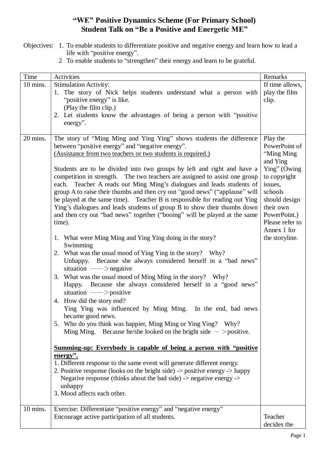## **"WE" Positive Dynamics Scheme (For Primary School) Student Talk on "Be a Positive and Energetic ME"**

- Objectives: 1. To enable students to differentiate positive and negative energy and learn how to lead a life with "positive energy".
	- 2 To enable students to "strengthen" their energy and learn to be grateful.

| Time     | Activities                                                                                                                                                                                                                                                                                                                                                                                                                                                                                                                                                                                                                                                                                                                                                                                                                                                                                                                                                                                                                                                                                                                                                                                                                                                                                                                                                                                                                                                                                                                                                                                                                                                                                                                                                                                                    | Remarks                                                                                                                                                                                                     |
|----------|---------------------------------------------------------------------------------------------------------------------------------------------------------------------------------------------------------------------------------------------------------------------------------------------------------------------------------------------------------------------------------------------------------------------------------------------------------------------------------------------------------------------------------------------------------------------------------------------------------------------------------------------------------------------------------------------------------------------------------------------------------------------------------------------------------------------------------------------------------------------------------------------------------------------------------------------------------------------------------------------------------------------------------------------------------------------------------------------------------------------------------------------------------------------------------------------------------------------------------------------------------------------------------------------------------------------------------------------------------------------------------------------------------------------------------------------------------------------------------------------------------------------------------------------------------------------------------------------------------------------------------------------------------------------------------------------------------------------------------------------------------------------------------------------------------------|-------------------------------------------------------------------------------------------------------------------------------------------------------------------------------------------------------------|
| 10 mins. | <b>Stimulation Activity:</b>                                                                                                                                                                                                                                                                                                                                                                                                                                                                                                                                                                                                                                                                                                                                                                                                                                                                                                                                                                                                                                                                                                                                                                                                                                                                                                                                                                                                                                                                                                                                                                                                                                                                                                                                                                                  | If time allows,                                                                                                                                                                                             |
|          | 1. The story of Nick helps students understand what a person with<br>"positive energy" is like.                                                                                                                                                                                                                                                                                                                                                                                                                                                                                                                                                                                                                                                                                                                                                                                                                                                                                                                                                                                                                                                                                                                                                                                                                                                                                                                                                                                                                                                                                                                                                                                                                                                                                                               | play the film<br>clip.                                                                                                                                                                                      |
|          | (Play the film clip.)<br>2. Let students know the advantages of being a person with "positive<br>energy".                                                                                                                                                                                                                                                                                                                                                                                                                                                                                                                                                                                                                                                                                                                                                                                                                                                                                                                                                                                                                                                                                                                                                                                                                                                                                                                                                                                                                                                                                                                                                                                                                                                                                                     |                                                                                                                                                                                                             |
| 20 mins. | The story of "Ming Ming and Ying Ying" shows students the difference<br>between "positive energy" and "negative energy".<br>(Assistance from two teachers or two students is required.)<br>Students are to be divided into two groups by left and right and have a<br>competition in strength. The two teachers are assigned to assist one group<br>each. Teacher A reads out Ming Ming's dialogues and leads students of<br>group A to raise their thumbs and then cry out "good news" ("applause" will<br>be played at the same time). Teacher B is responsible for reading out Ying<br>Ying's dialogues and leads students of group B to show their thumbs down<br>and then cry out "bad news" together ("booing" will be played at the same<br>time).<br>1. What were Ming Ming and Ying Ying doing in the story?<br>Swimming<br>2. What was the usual mood of Ying Ying in the story? Why?<br>Unhappy. Because she always considered herself in a "bad news"<br>situation $\longrightarrow$ negative<br>3. What was the usual mood of Ming Ming in the story? Why?<br>Happy. Because she always considered herself in a "good news"<br>situation $\longrightarrow$ positive<br>4. How did the story end?<br>Ying Ying was influenced by Ming Ming. In the end, bad news<br>became good news.<br>5. Who do you think was happier, Ming Ming or Ying Ying? Why?<br>Ming Ming. Because he/she looked on the bright side $\rightarrow$ positive.<br>Summing-up: Everybody is capable of being a person with "positive<br>energy".<br>1. Different response to the same event will generate different energy.<br>2. Positive response (looks on the bright side) -> positive energy -> happy<br>Negative response (thinks about the bad side) -> negative energy -><br>unhappy<br>3. Mood affects each other. | Play the<br>PowerPoint of<br>"Ming Ming<br>and Ying<br>Ying" (Owing<br>to copyright<br>issues,<br>schools<br>should design<br>their own<br>PowerPoint.)<br>Please refer to<br>Annex 1 for<br>the storyline. |
| 10 mins. | Exercise: Differentiate "positive energy" and "negative energy"<br>Encourage active participation of all students.                                                                                                                                                                                                                                                                                                                                                                                                                                                                                                                                                                                                                                                                                                                                                                                                                                                                                                                                                                                                                                                                                                                                                                                                                                                                                                                                                                                                                                                                                                                                                                                                                                                                                            | Teacher<br>decides the                                                                                                                                                                                      |